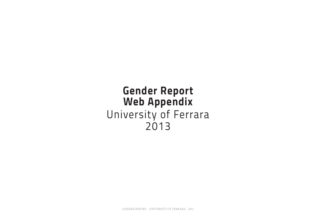## **Gender Report Web Appendix** University of Ferrara 2013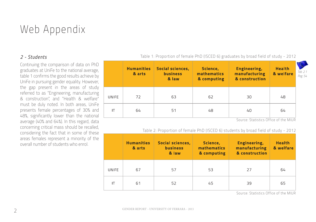# Web Appendix

## *2 - Students*

Continuing the comparison of data on PhD graduates at UniFe to the national average, table 1 confirms the good results achieve by UniFe in pursuing gender equality. However, the gap present in the areas of study referred to as "Engineering, manufacturing & construction", and "Health & welfare" must be duly noted. In both areas, UniFe presents female percentages of 30% and 48%, significantly lower than the national average (40% and 64%). In this regard, data concerning critical mass should be recalled, considering the fact that in some of these areas females represent a minority of the overall number of students who enrol.

**Humanities** Social sciences. Science. Engineering, **Health** *Tab. 2.1* mathematics manufacturing & welfare & arts **business** *Pag. 54* & construction & law & computing **UNIFE** 72 63 62 30 48 IT 51 48  $40$ 64 64

Table 1: Proportion of female PhD (ISCED 6) graduates by broad field of study - 2012

Source: Statistics Office of the MIUR

#### Table 2: Proportion of female PhD (ISCED 6) students by broad field of study - 2012

|       | <b>Humanities</b><br>& arts | <b>Social sciences,</b><br><b>business</b><br>& law | Science,<br>mathematics<br>& computing | <b>Engineering,</b><br>manufacturing<br>& construction | <b>Health</b><br>& welfare |
|-------|-----------------------------|-----------------------------------------------------|----------------------------------------|--------------------------------------------------------|----------------------------|
| UNIFE | 67                          | 57                                                  | 53                                     | 27                                                     | 64                         |
| IT    | 61                          | 52                                                  | 45                                     | 39                                                     | 65                         |

Source: Statistics Office of the MIUR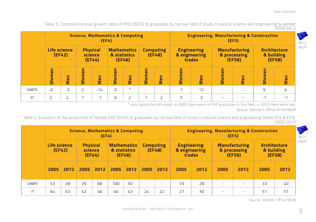Table 3: Compound annual growth rates of PhD (ISCED 6) graduates by narrow field of study in natural science and engineering by gender 2005/2012

|              | <b>Science, Mathematics &amp; Computing</b><br>(EF4) |                               |                |                                      |                                    |                |       | <b>Engineering, Manufacturing &amp; Construction</b><br>(EF5) |                                               |     |       |                                                |                | Tab.2.2                                     |        |
|--------------|------------------------------------------------------|-------------------------------|----------------|--------------------------------------|------------------------------------|----------------|-------|---------------------------------------------------------------|-----------------------------------------------|-----|-------|------------------------------------------------|----------------|---------------------------------------------|--------|
|              |                                                      | <b>Life science</b><br>(EF42) |                | <b>Physical</b><br>science<br>(EF44) | <b>Mathematics</b><br>& statistics | (EF46)         |       | <b>Computing</b><br>(EF48)                                    | <b>Engineering</b><br>& engineering<br>trades |     |       | <b>Manufacturing</b><br>& processing<br>(EF56) |                | <b>Architecture</b><br>& building<br>(EF58) | pag.59 |
|              | Women                                                | Men                           | <b>Women</b>   | Men                                  | Women                              | Men            | Women | Men                                                           | Women                                         | Men | Women | Men                                            | Women          | Men                                         |        |
| <b>UNIFE</b> | $-6$                                                 | $-3$                          | $\overline{2}$ | $-14$                                | $\Omega$                           | $\ast$         |       | $\overline{\phantom{0}}$                                      |                                               | 12  |       |                                                | $\overline{9}$ | 6                                           |        |
| IT           |                                                      | ∍                             |                | $-1$                                 | $\circ$                            | $\overline{2}$ |       |                                                               | 5                                             | 3   |       |                                                | $-1$           | $-1$                                        |        |

\* data cannot be calculated: in 2005 there were no PhD graduates in this field, in 2012 there were two.

Source: Statistics Office of the MIUR

Table 4: Evolution of the proportion of female PhD (ISCED 6) graduates by narrow field of study in natural science and engineering (fields EF4 & EF5), 2005/2012

|              |                        | <b>Science, Mathematics &amp; Computing</b><br>(EF4) |                                      |      |      |                                              |                            |      | <b>Engineering, Manufacturing &amp; Construction</b><br>(EF5) |      |                                                |      |                                             |      |
|--------------|------------------------|------------------------------------------------------|--------------------------------------|------|------|----------------------------------------------|----------------------------|------|---------------------------------------------------------------|------|------------------------------------------------|------|---------------------------------------------|------|
|              | Life science<br>(EF42) |                                                      | <b>Physical</b><br>science<br>(EF44) |      |      | <b>Mathematics</b><br>& statistics<br>(EF46) | <b>Computing</b><br>(EF48) |      | <b>Engineering</b><br>& engineering<br>trades                 |      | <b>Manufacturing</b><br>& processing<br>(EF56) |      | <b>Architecture</b><br>& building<br>(EF58) |      |
|              | 2005                   | 2012                                                 | 2005                                 | 2012 | 2005 | 2012                                         | 2005                       | 2012 | 2005                                                          | 2012 | 2005                                           | 2012 | 2005                                        | 2012 |
| <b>UNIFE</b> | 53                     | 58                                                   | 39                                   | 68   | 100  | 50                                           | $\overline{\phantom{a}}$   |      | 33                                                            | 28   |                                                |      | 33                                          | 40   |
| IT           | 64                     | 63                                                   | 42                                   | 46   | 46   | 43                                           | 24                         | 22   | 27                                                            | 30   | $\overline{\phantom{0}}$                       |      | 51                                          | 51   |

Source: Statistic Office MIUR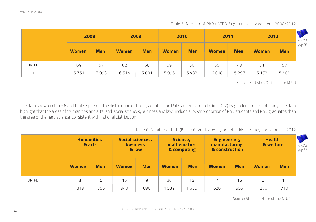|       | 2008         |            | 2009<br>2010 |            |              | 2011       |              | 2012       |              |            |
|-------|--------------|------------|--------------|------------|--------------|------------|--------------|------------|--------------|------------|
|       | <b>Women</b> | <b>Men</b> | <b>Women</b> | <b>Men</b> | <b>Women</b> | <b>Men</b> | <b>Women</b> | <b>Men</b> | <b>Women</b> | <b>Men</b> |
| UNIFE | 64           | 57         | 62           | 68         | 59           | 60         | 55           | 49         | 71           | 57         |
|       | 6751         | 5993       | 6514         | 5801       | 5996         | 5482       | 6018         | 5 2 9 7    | 6 1 7 2      | 5404       |

Table 5: Number of PhD (ISCED 6) graduates by gender - 2008/2012

Source: Statistics Office of the MIUR

The data shown in table 6 and table 7 present the distribution of PhD graduates and PhD students in UniFe (in 2012) by gender and field of study. The data highlight that the areas of 'humanities and arts' and' social sciences, business and law" include a lower proportion of PhD students and PhD graduates than the area of the hard science, consistent with national distribution.

Table 6: Number of PhD (ISCED 6) graduates by broad fields of study and gender - 2012

|              | <b>Humanities</b><br>& arts |            | <b>Social sciences,</b><br><b>business</b><br>& law |            | Science,<br><b>mathematics</b><br>& computing |            | <b>Engineering,</b><br>manufacturing<br>& construction |            | <b>Health</b><br>& welfare |            | Ans.2.2<br>pag.79 |
|--------------|-----------------------------|------------|-----------------------------------------------------|------------|-----------------------------------------------|------------|--------------------------------------------------------|------------|----------------------------|------------|-------------------|
|              | <b>Women</b>                | <b>Men</b> | <b>Women</b>                                        | <b>Men</b> | <b>Women</b>                                  | <b>Men</b> | <b>Women</b>                                           | <b>Men</b> | <b>Women</b>               | <b>Men</b> |                   |
| <b>UNIFE</b> | 13                          | 5          | 15                                                  | 9          | 26                                            | 16         |                                                        | 16         | 10                         | 11         |                   |
| IT           | 1 3 1 9                     | 756        | 940                                                 | 898        | 532                                           | 1650       | 626                                                    | 955        | 1 2 7 0                    | 710        |                   |

Source: Statistic Office of the MIUR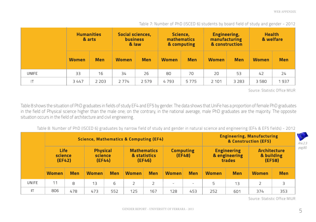| Table 7: Number of PhD (ISCED 6) students by board field of study and gender - 2012 |  |  |  |
|-------------------------------------------------------------------------------------|--|--|--|

|              | <b>Humanities</b><br>& arts |            | Social sciences,<br><b>business</b><br>& law |            | Science,<br><b>mathematics</b><br>& computing |            | <b>Engineering,</b><br>manufacturing<br>& construction |            | <b>Health</b><br>& welfare |            |
|--------------|-----------------------------|------------|----------------------------------------------|------------|-----------------------------------------------|------------|--------------------------------------------------------|------------|----------------------------|------------|
|              | <b>Women</b>                | <b>Men</b> | <b>Women</b>                                 | <b>Men</b> | <b>Women</b>                                  | <b>Men</b> | <b>Women</b>                                           | <b>Men</b> | <b>Women</b>               | <b>Men</b> |
| <b>UNIFE</b> | 33                          | 16         | 34                                           | 26         | 80                                            | 70         | 20                                                     | 53         | 42                         | 24         |
| IT           | 3447                        | 2 2 0 3    | 2 7 7 4                                      | 2579       | 4793                                          | 5775       | 2 1 0 1                                                | 3 2 8 3    | 3580                       | 1937       |

Source: Statistic Office MIUR

Table 8 shows the situation of PhD graduates in fields of study EF4 and EF5 by gender. The data shows that UniFe has a proportion of female PhD graduates in the field of Physical science higher than the male one; on the contrary, in the national average, male PhD graduates are the majority. The opposite situation occurs in the field of architecture and civil engineering.

Table 8: Number of PhD (ISCED 6) graduates by narrow field of study and gender in natural science and engineering (EF4 & EF5 fields) - 2012

|       |                                  | Science, Mathematics & Computing (EF4) |                                      |            |                                    |                          |                              |            |              |                                               | <b>Engineering, Manufacturing</b><br>& Construction (EF5) |            |        |  |  |
|-------|----------------------------------|----------------------------------------|--------------------------------------|------------|------------------------------------|--------------------------|------------------------------|------------|--------------|-----------------------------------------------|-----------------------------------------------------------|------------|--------|--|--|
|       | <b>Life</b><br>science<br>(EF42) |                                        | <b>Physical</b><br>science<br>(EF44) |            | <b>Mathematics</b><br>& statistics | (EF46)                   | <b>Computing</b><br>(EF48)   |            |              | <b>Engineering</b><br>& engineering<br>trades | <b>Architecture</b><br>& building<br>(EF58)               |            | pag.80 |  |  |
|       | <b>Women</b>                     | <b>Men</b>                             | <b>Women</b>                         | <b>Men</b> | <b>Women</b>                       | <b>Men</b>               | <b>Women</b>                 | <b>Men</b> | <b>Women</b> | <b>Men</b>                                    | <b>Women</b>                                              | <b>Men</b> |        |  |  |
| UNIFE | 11                               | 8                                      | 13                                   | 6          |                                    | $\overline{\phantom{0}}$ | $\qquad \qquad \blacksquare$ |            | 5            | 13                                            |                                                           | 3          |        |  |  |
| IΤ    | 806                              | 478                                    | 473                                  | 552        | 125                                | 167                      | 128                          | 453        | 252          | 601                                           | 374                                                       | 353        |        |  |  |

Source: Statistic Office MIUR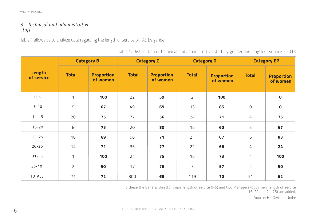## *3 - Technical and administrative staff*

Table 1 allows us to analyze data regarding the length of service of TAS by gender.

Table 1: Distribution of technical and administrative staff, by gender and length of service - 2013

|                      | <b>Category B</b> |                               |              | <b>Category C</b>             |                | <b>Category D</b>             | <b>Category EP</b> |                               |
|----------------------|-------------------|-------------------------------|--------------|-------------------------------|----------------|-------------------------------|--------------------|-------------------------------|
| Length<br>of service | <b>Total</b>      | <b>Proportion</b><br>of women | <b>Total</b> | <b>Proportion</b><br>of women | <b>Total</b>   | <b>Proportion</b><br>of women | <b>Total</b>       | <b>Proportion</b><br>of women |
| $0 - 5$              | 1                 | 100                           | 22           | 59                            | $\overline{2}$ | 100                           | $\mathbf{1}$       | $\mathbf 0$                   |
| $6 - 10$             | $\mathsf 9$       | 67                            | 49           | 69                            | 13             | 85                            | $\mathsf O$        | $\mathbf 0$                   |
| $11 - 15$            | 20                | 75                            | 77           | 56                            | 24             | 71                            | 4                  | 75                            |
| $16 - 20$            | $\,8\,$           | 75                            | 20           | 80                            | 15             | 60                            | $\mathsf{B}$       | 67                            |
| $21 - 25$            | 16                | 69                            | 56           | 71                            | 21             | 67                            | $\sqrt{6}$         | 83                            |
| $26 - 30$            | 14                | 71                            | 35           | 77                            | 22             | 68                            | 4                  | 24                            |
| $31 - 35$            | 1                 | 100                           | 24           | 75                            | 15             | 73                            | $\mathbf 1$        | 100                           |
| $36 - 40$            | $\overline{2}$    | 50                            | 17           | 76                            | $\overline{7}$ | 57                            | $\mathsf{2}$       | 50                            |
| <b>TOTALE</b>        | 71                | 72                            | 300          | 68                            | 119            | 70                            | 21                 | 62                            |

To these the General Director (man, length of service 0-5) and two Managers (both men, length of service 16-20 and 21-25) are added.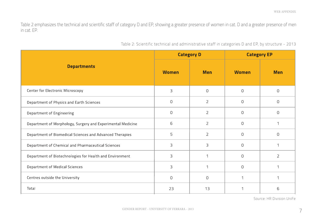Table 2 emphasizes the technical and scientific staff of category D and EP, showing a greater presence of women in cat. D and a greater presence of men in cat. EP.

| Table 2: Scientific technical and administrative staff in categories D and EP, by structure - 2013 |  |
|----------------------------------------------------------------------------------------------------|--|
|----------------------------------------------------------------------------------------------------|--|

|                                                             | <b>Category D</b> |                | <b>Category EP</b> |                |  |
|-------------------------------------------------------------|-------------------|----------------|--------------------|----------------|--|
| <b>Departments</b>                                          | <b>Women</b>      | <b>Men</b>     | <b>Women</b>       | <b>Men</b>     |  |
| Center for Electronic Microscopy                            | 3                 | $\Omega$       | $\Omega$           | $\Omega$       |  |
| Department of Physics and Earth Sciences                    | $\Omega$          | $\overline{2}$ | $\Omega$           | 0              |  |
| Department of Engineering                                   | 0                 | $\overline{2}$ | $\circ$            | $\Omega$       |  |
| Department of Morphology, Surgery and Experimental Medicine | 6                 | $\overline{2}$ | $\circ$            |                |  |
| Department of Biomedical Sciences and Advanced Therapies    | 5                 | $\overline{2}$ | $\circ$            | 0              |  |
| Department of Chemical and Pharmaceutical Sciences          | 3                 | 3              | $\Omega$           |                |  |
| Department of Biotechnologies for Health and Environment    | 3                 |                | $\Omega$           | $\overline{2}$ |  |
| Department of Medical Sciences                              | 3                 |                | $\Omega$           |                |  |
| Centres outside the University                              | 0                 | $\Omega$       | 1                  |                |  |
| Total                                                       | 23                | 13             | 1                  | 6              |  |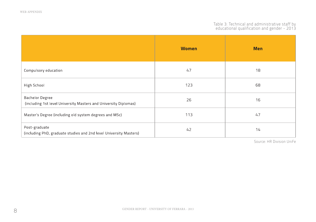#### Table 3: Technical and administrative staff by educational qualification and gender - 2013

|                                                                                            | <b>Women</b> | <b>Men</b> |
|--------------------------------------------------------------------------------------------|--------------|------------|
| Compulsory education                                                                       | 47           | 18         |
| High School                                                                                | 123          | 68         |
| <b>Bachelor Degree</b><br>(including 1st level University Masters and University Diplomas) | 26           | 16         |
| Master's Degree (including old system degrees and MSc)                                     | 113          | 47         |
| Post-graduate<br>(including PhD, graduate studies and 2nd level University Masters)        | 42           | 14         |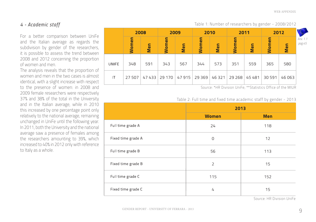## *4 - Academic staff*

For a better comparison between UniFe and the Italian average as regards the subdivision by gender of the researchers, it is possible to assess the trend between 2008 and 2012 concerning the proportion of women and men.

The analysis reveals that the proportion of women and men in the two cases is almost identical, with a slight increase with respect to the presence of women: in 2008 and 2009 female researchers were respectively 37% and 38% of the total in the University and in the Italian average, while in 2010 this increased by one percentage point only relatively to the national average, remaining unchanged in UniFe until the following year. In 2011, both the University and the national average saw a presence of females among the researchers amounting to 39%, which increased to 40% in 2012 only with reference to Italy as a whole.

|       | 2008         |       | 2009         |       | 2010      |        | 2011   |        | 2012             |        |                    |
|-------|--------------|-------|--------------|-------|-----------|--------|--------|--------|------------------|--------|--------------------|
|       | <b>Women</b> | Men   | <b>Women</b> | Men   | ā<br>Wome | Men    | Women  | Men    | မူ<br><b>Wom</b> | Men    | Anx. 1.1<br>pag.45 |
| UNIFE | 348          | 591   | 343          | 567   | 344       | 573    | 351    | 559    | 365              | 580    |                    |
| IT    | 27 507       | 47433 | 29 170       | 47915 | 29 369    | 46 321 | 29 268 | 45 481 | 30 591           | 46 063 |                    |

Source: \*HR Division UniFe; \*\*Statistics Office of the MIUR

Table 1: Number of researchers by gender - 2008/2012

#### Table 2: Full time and fixed time academic staff by gender - 2013

|                    |                | $\sim$     |
|--------------------|----------------|------------|
|                    | 2013           |            |
|                    | <b>Women</b>   | <b>Men</b> |
| Full time grade A  | 24             | 118        |
| Fixed time grade A | 0              | 12         |
| Full time grade B  | 56             | 113        |
| Fixed time grade B | $\overline{2}$ | 15         |
| Full time grade C  | 115            | 152        |
| Fixed time grade C | 4              | 15         |
|                    |                |            |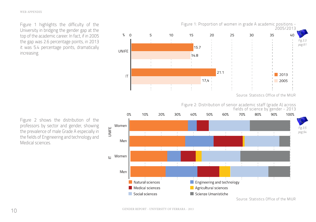Figure 1 highlights the difficulty of the University in bridging the gender gap at the top of the academic career. In fact, if in 2005 the gap was 2.6 percentage points, in 2013 it was 5.4 percentage points, dramatically increasing.



Figure 2: Distribution of senior academic staff (grade A) across



Figure 2 shows the distribution of the professors by sector and gender, showing the prevalence of male Grade A especially in the fields of Engineering and technology and Medical sciences.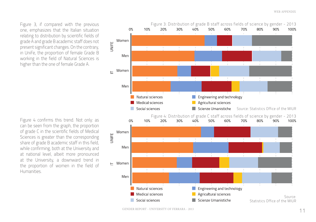Figure 3, if compared with the previous one, emphasizes that the Italian situation relating to distribution by scientific fields of grade A and grade B academic staff does not present significant changes. On the contrary, in UniFe, the proportion of female Grade B working in the field of Natural Sciences is higher than the one of female Grade A.

Figure 4 confirms this trend. Not only: as can be seen from the graph, the proportion of grade C in the scientific fields of Medical Sciences is greater than the corresponding share of grade B academic staff in this field, while confirming, both at the University and at national level, albeit more pronounced at the University, a downward trend in the proportion of women in the field of Humanities.

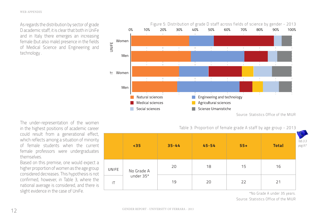As regards the distribution by sector of grade D academic staff, it is clear that both in UniFe and in Italy there emerges an increasing female (but also male) presence in the fields of Medical Science and Engineering and technology .



Table 3: Proportion of female grade A staff by age group - 2013

|              | $35$       | $35 - 44$ | $45 - 54$ | $55+$ | <b>Total</b> | Tab.3.3<br>pag.97 |
|--------------|------------|-----------|-----------|-------|--------------|-------------------|
| <b>UNIFE</b> | No Grade A | 20        | 18        | 15    | 16           |                   |
| IT           | under 35*  | 19        | 20        | 22    | 21           |                   |

in the highest positions of academic career could result from a generational effect, which reflects among a situation of minority of female students when the current female professors were undergraduates themselves.

The under-representation of the women

Based on this premise, one would expect a higher proportion of women as the age group considered decreases. This hypothesis is not confirmed, however, in Table 3, where the national average is considered, and there is slight evidence in the case of UniFe.

\*No Grade A under 35 years.

Source: Statistics Office of the MIUR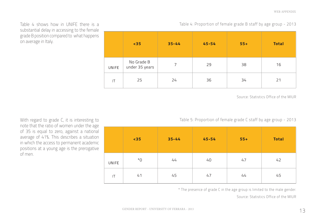Table 4 shows how in UNIFE there is a substantial delay in accessing to the female grade B position compared to what happens on average in Italy.

|              | $35$                         | $35 - 44$      | $45 - 54$ | $55+$ | <b>Total</b> |
|--------------|------------------------------|----------------|-----------|-------|--------------|
| <b>UNIFE</b> | No Grade B<br>under 35 years | $\overline{7}$ | 29        | 38    | 16           |
| IT           | 25                           | 24             | 36        | 34    | 21           |

Table 4: Proportion of female grade B staff by age group - 2013

Source: Statistics Office of the MIUR

Table 5: Proportion of female grade C staff by age group - 2013

|                        | $35$        | $35 - 44$ | $45 - 54$ | $55+$ | <b>Total</b> |
|------------------------|-------------|-----------|-----------|-------|--------------|
| <b>UNIFE</b>           | $*_{\rm O}$ | 44        | 40        | 47    | 42           |
| $\mathsf{I}\mathsf{T}$ | 41          | 45        | 47        | 44    | 45           |

\* The presence of grade C in the age group is limited to the male gender.

Source: Statistics Office of the MIUR

With regard to grade C, it is interesting to note that the ratio of women under the age of 35 is equal to zero, against a national average of 41%. This describes a situation in which the access to permanent academic positions at a young age is the prerogative of men.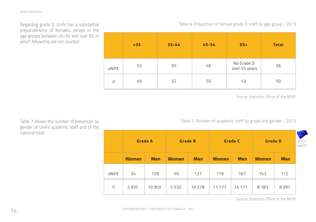Regarding grade D, Unife has a substantial preponderance of females, except in the age groups between 45-54 and over 55, in which fellowship are not counted.

-U

Source: Statistics Office of the MIUR

Table 7: Number of academic staff by grade and gender - 2013

**Grade A Grade B Grade C Grade D** *Anx.3.1 pag.107* **Women Women Men Women Men Women Men Men** UNIFE 24 129 59 127 119 167 143 112 2935 10955 5532 10 278 11777 14 17 1 8 1 8 3 8097  $\mathsf{I}\mathsf{T}$ 

Source: Statistics Office of the MIUR

Table 7 shows the number of presences by gender of UniFe academic staff and of the national total.

|              | $35$ | $35 - 44$ | $45 - 54$ | $55+$                       | <b>Total</b> |
|--------------|------|-----------|-----------|-----------------------------|--------------|
| <b>INIFE</b> | 52   | 65        | 46        | No Grade D<br>over 55 years | 56           |
| IT           | 49   | 52        | 55        | 43                          | 50           |

#### Table 6: Proportion of female grade D staff by age group - 2013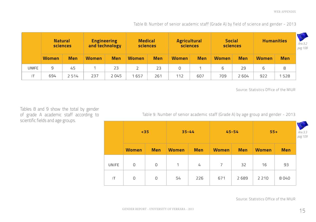Table 8: Number of senior academic staff (Grade A) by field of science and gender - 2013

|       | <b>Natural</b><br>sciences |            | <b>Engineering</b><br>and technology |            | <b>Medical</b><br>sciences |            | <b>Agricultural</b><br>sciences |            | <b>Social</b><br>sciences |            | <b>Humanities</b> |            | Anx.3.2<br>pag. 108 |
|-------|----------------------------|------------|--------------------------------------|------------|----------------------------|------------|---------------------------------|------------|---------------------------|------------|-------------------|------------|---------------------|
|       | <b>Women</b>               | <b>Men</b> | <b>Women</b>                         | <b>Men</b> | <b>Women</b>               | <b>Men</b> | <b>Women</b>                    | <b>Men</b> | <b>Women</b>              | <b>Men</b> | <b>Women</b>      | <b>Men</b> |                     |
| UNIFE | 9                          | 45         |                                      | 23         |                            | 23         | 0                               |            | 6                         | 29         | 6                 | 8          |                     |
|       | 694                        | 2514       | 237                                  | 2045       | 657                        | 261        | 112                             | 607        | 709                       | 2604       | 922               | 528        |                     |

Source: Statistics Office of the MIUR

Tables 8 and 9 show the total by gender of grade A academic staff according to scientific fields and age groups.

Table 9: Number of senior academic staff (Grade A) by age group and gender - 2013

|       | $35$           |             | $35 - 44$    |            |                | $45 - 54$  | $55+$        | Anx.3.3<br>pag. 109 |  |
|-------|----------------|-------------|--------------|------------|----------------|------------|--------------|---------------------|--|
|       | <b>Women</b>   | <b>Men</b>  | <b>Women</b> | <b>Men</b> | <b>Women</b>   | <b>Men</b> | <b>Women</b> | <b>Men</b>          |  |
| UNIFE | 0              | $\circ$     | $\mathbf{1}$ | 4          | $\overline{7}$ | 32         | 16           | 93                  |  |
| IT    | $\overline{O}$ | $\mathbf 0$ | 54           | 226        | 671            | 2689       | 2 2 1 0      | 8040                |  |

Source: Statistics Office of the MIUR